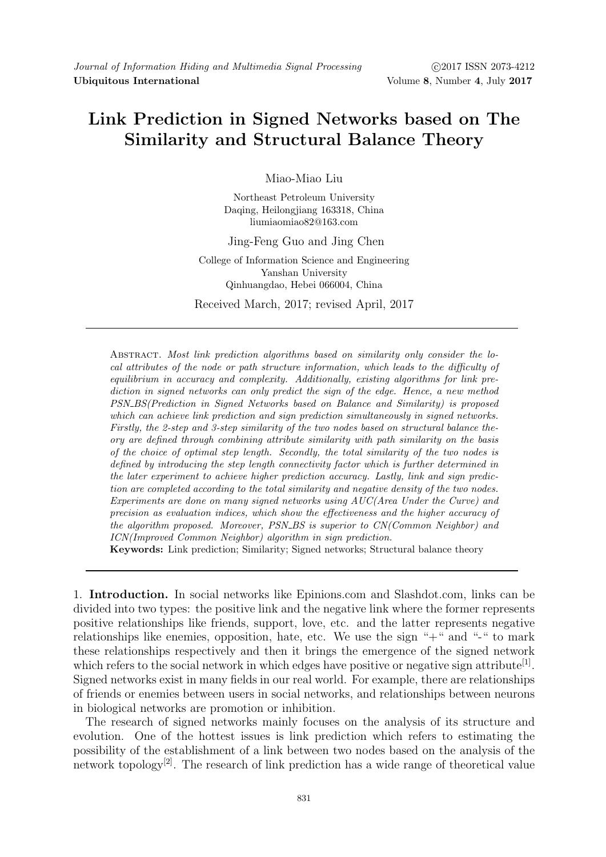# Link Prediction in Signed Networks based on The Similarity and Structural Balance Theory

Miao-Miao Liu

Northeast Petroleum University Daqing, Heilongjiang 163318, China liumiaomiao82@163.com

Jing-Feng Guo and Jing Chen

College of Information Science and Engineering Yanshan University Qinhuangdao, Hebei 066004, China

Received March, 2017; revised April, 2017

Abstract. Most link prediction algorithms based on similarity only consider the local attributes of the node or path structure information, which leads to the difficulty of equilibrium in accuracy and complexity. Additionally, existing algorithms for link prediction in signed networks can only predict the sign of the edge. Hence, a new method PSN BS(Prediction in Signed Networks based on Balance and Similarity) is proposed which can achieve link prediction and sign prediction simultaneously in signed networks. Firstly, the 2-step and 3-step similarity of the two nodes based on structural balance theory are defined through combining attribute similarity with path similarity on the basis of the choice of optimal step length. Secondly, the total similarity of the two nodes is defined by introducing the step length connectivity factor which is further determined in the later experiment to achieve higher prediction accuracy. Lastly, link and sign prediction are completed according to the total similarity and negative density of the two nodes. Experiments are done on many signed networks using AUC(Area Under the Curve) and precision as evaluation indices, which show the effectiveness and the higher accuracy of the algorithm proposed. Moreover, PSN\_BS is superior to CN(Common Neighbor) and ICN(Improved Common Neighbor) algorithm in sign prediction.

Keywords: Link prediction; Similarity; Signed networks; Structural balance theory

1. Introduction. In social networks like Epinions.com and Slashdot.com, links can be divided into two types: the positive link and the negative link where the former represents positive relationships like friends, support, love, etc. and the latter represents negative relationships like enemies, opposition, hate, etc. We use the sign " $+$ " and " $-$ " to mark these relationships respectively and then it brings the emergence of the signed network which refers to the social network in which edges have positive or negative sign attribute<sup>[1]</sup>. Signed networks exist in many fields in our real world. For example, there are relationships of friends or enemies between users in social networks, and relationships between neurons in biological networks are promotion or inhibition.

The research of signed networks mainly focuses on the analysis of its structure and evolution. One of the hottest issues is link prediction which refers to estimating the possibility of the establishment of a link between two nodes based on the analysis of the network topology<sup>[2]</sup>. The research of link prediction has a wide range of theoretical value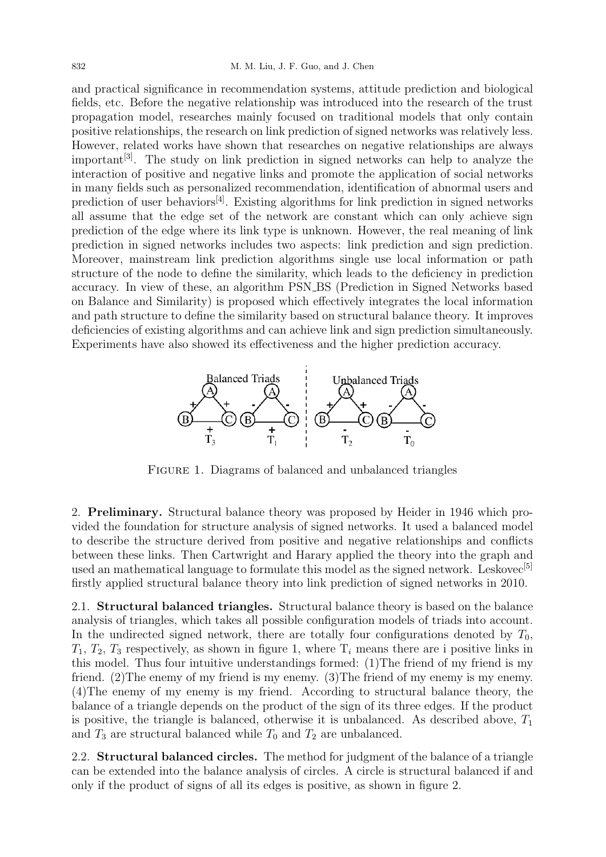and practical significance in recommendation systems, attitude prediction and biological fields, etc. Before the negative relationship was introduced into the research of the trust propagation model, researches mainly focused on traditional models that only contain positive relationships, the research on link prediction of signed networks was relatively less. However, related works have shown that researches on negative relationships are always important  $\mathbb{S}^1$ . The study on link prediction in signed networks can help to analyze the interaction of positive and negative links and promote the application of social networks in many fields such as personalized recommendation, identification of abnormal users and prediction of user behaviors[4]. Existing algorithms for link prediction in signed networks all assume that the edge set of the network are constant which can only achieve sign prediction of the edge where its link type is unknown. However, the real meaning of link prediction in signed networks includes two aspects: link prediction and sign prediction. Moreover, mainstream link prediction algorithms single use local information or path structure of the node to define the similarity, which leads to the deficiency in prediction accuracy. In view of these, an algorithm PSN BS (Prediction in Signed Networks based on Balance and Similarity) is proposed which effectively integrates the local information and path structure to define the similarity based on structural balance theory. It improves deficiencies of existing algorithms and can achieve link and sign prediction simultaneously. Experiments have also showed its effectiveness and the higher prediction accuracy.



FIGURE 1. Diagrams of balanced and unbalanced triangles

2. Preliminary. Structural balance theory was proposed by Heider in 1946 which provided the foundation for structure analysis of signed networks. It used a balanced model to describe the structure derived from positive and negative relationships and conflicts between these links. Then Cartwright and Harary applied the theory into the graph and used an mathematical language to formulate this model as the signed network. Leskovec<sup>[5]</sup> firstly applied structural balance theory into link prediction of signed networks in 2010.

2.1. Structural balanced triangles. Structural balance theory is based on the balance analysis of triangles, which takes all possible configuration models of triads into account. In the undirected signed network, there are totally four configurations denoted by  $T_0$ ,  $T_1, T_2, T_3$  respectively, as shown in figure 1, where  $T_i$  means there are i positive links in this model. Thus four intuitive understandings formed: (1)The friend of my friend is my friend. (2)The enemy of my friend is my enemy. (3)The friend of my enemy is my enemy. (4)The enemy of my enemy is my friend. According to structural balance theory, the balance of a triangle depends on the product of the sign of its three edges. If the product is positive, the triangle is balanced, otherwise it is unbalanced. As described above,  $T_1$ and  $T_3$  are structural balanced while  $T_0$  and  $T_2$  are unbalanced.

2.2. Structural balanced circles. The method for judgment of the balance of a triangle can be extended into the balance analysis of circles. A circle is structural balanced if and only if the product of signs of all its edges is positive, as shown in figure 2.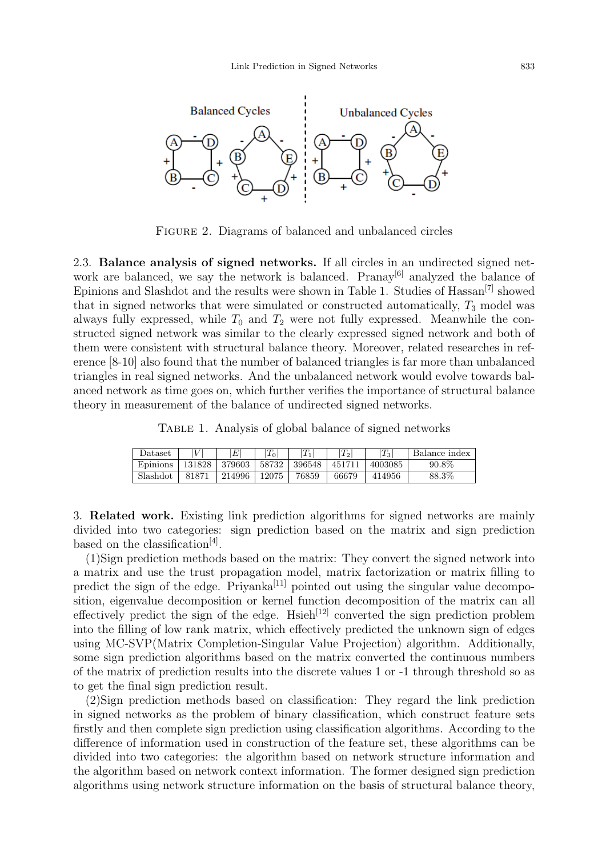

Figure 2. Diagrams of balanced and unbalanced circles

2.3. Balance analysis of signed networks. If all circles in an undirected signed network are balanced, we say the network is balanced. Pranay<sup>[6]</sup> analyzed the balance of Epinions and Slashdot and the results were shown in Table 1. Studies of  $Hassan^{[7]}$  showed that in signed networks that were simulated or constructed automatically,  $T_3$  model was always fully expressed, while  $T_0$  and  $T_2$  were not fully expressed. Meanwhile the constructed signed network was similar to the clearly expressed signed network and both of them were consistent with structural balance theory. Moreover, related researches in reference [8-10] also found that the number of balanced triangles is far more than unbalanced triangles in real signed networks. And the unbalanced network would evolve towards balanced network as time goes on, which further verifies the importance of structural balance theory in measurement of the balance of undirected signed networks.

TABLE 1. Analysis of global balance of signed networks

| $\text{Dataset}$ |        | $E^{\parallel}$ | $\tau$ | $T_1$  | $\tau$<br>$1_{2}$ | $ T_3 $ | Balance index |
|------------------|--------|-----------------|--------|--------|-------------------|---------|---------------|
| Epinions         | 131828 | 379603          | 58732  | 396548 | 451711            | 4003085 | $90.8\%$      |
| Slashdot         | 81871  | 214996          | 12075  | 76859  | 66679             | 414956  | 88.3%         |

<sup>3.</sup> Related work. Existing link prediction algorithms for signed networks are mainly divided into two categories: sign prediction based on the matrix and sign prediction based on the classification<sup>[4]</sup>.

(1)Sign prediction methods based on the matrix: They convert the signed network into a matrix and use the trust propagation model, matrix factorization or matrix filling to predict the sign of the edge. Priyanka<sup>[11]</sup> pointed out using the singular value decomposition, eigenvalue decomposition or kernel function decomposition of the matrix can all effectively predict the sign of the edge. Hsieh $^{[12]}$  converted the sign prediction problem into the filling of low rank matrix, which effectively predicted the unknown sign of edges using MC-SVP(Matrix Completion-Singular Value Projection) algorithm. Additionally, some sign prediction algorithms based on the matrix converted the continuous numbers of the matrix of prediction results into the discrete values 1 or -1 through threshold so as to get the final sign prediction result.

(2)Sign prediction methods based on classification: They regard the link prediction in signed networks as the problem of binary classification, which construct feature sets firstly and then complete sign prediction using classification algorithms. According to the difference of information used in construction of the feature set, these algorithms can be divided into two categories: the algorithm based on network structure information and the algorithm based on network context information. The former designed sign prediction algorithms using network structure information on the basis of structural balance theory,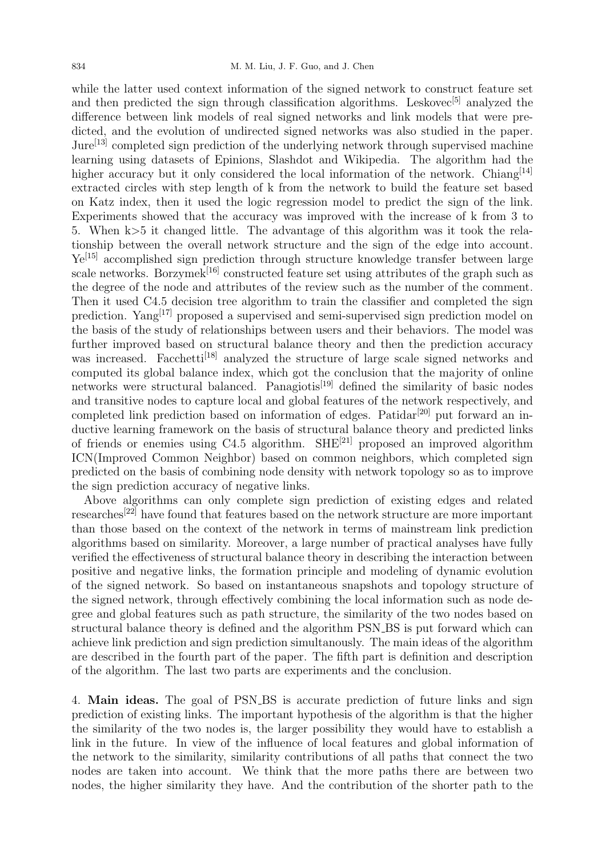while the latter used context information of the signed network to construct feature set and then predicted the sign through classification algorithms. Leskovec<sup>[5]</sup> analyzed the difference between link models of real signed networks and link models that were predicted, and the evolution of undirected signed networks was also studied in the paper.  $Jure<sup>[13]</sup>$  completed sign prediction of the underlying network through supervised machine learning using datasets of Epinions, Slashdot and Wikipedia. The algorithm had the higher accuracy but it only considered the local information of the network. Chiang $[14]$ extracted circles with step length of k from the network to build the feature set based on Katz index, then it used the logic regression model to predict the sign of the link. Experiments showed that the accuracy was improved with the increase of k from 3 to 5. When k>5 it changed little. The advantage of this algorithm was it took the relationship between the overall network structure and the sign of the edge into account. Ye[15] accomplished sign prediction through structure knowledge transfer between large scale networks. Borzymek<sup>[16]</sup> constructed feature set using attributes of the graph such as the degree of the node and attributes of the review such as the number of the comment. Then it used C4.5 decision tree algorithm to train the classifier and completed the sign prediction. Yang<sup>[17]</sup> proposed a supervised and semi-supervised sign prediction model on the basis of the study of relationships between users and their behaviors. The model was further improved based on structural balance theory and then the prediction accuracy was increased. Facchetti<sup>[18]</sup> analyzed the structure of large scale signed networks and computed its global balance index, which got the conclusion that the majority of online networks were structural balanced. Panagiotis<sup>[19]</sup> defined the similarity of basic nodes and transitive nodes to capture local and global features of the network respectively, and completed link prediction based on information of edges. Patidar<sup>[20]</sup> put forward an inductive learning framework on the basis of structural balance theory and predicted links of friends or enemies using C4.5 algorithm. SHE<sup>[21]</sup> proposed an improved algorithm ICN(Improved Common Neighbor) based on common neighbors, which completed sign predicted on the basis of combining node density with network topology so as to improve the sign prediction accuracy of negative links.

Above algorithms can only complete sign prediction of existing edges and related researches[22] have found that features based on the network structure are more important than those based on the context of the network in terms of mainstream link prediction algorithms based on similarity. Moreover, a large number of practical analyses have fully verified the effectiveness of structural balance theory in describing the interaction between positive and negative links, the formation principle and modeling of dynamic evolution of the signed network. So based on instantaneous snapshots and topology structure of the signed network, through effectively combining the local information such as node degree and global features such as path structure, the similarity of the two nodes based on structural balance theory is defined and the algorithm PSN\_BS is put forward which can achieve link prediction and sign prediction simultanously. The main ideas of the algorithm are described in the fourth part of the paper. The fifth part is definition and description of the algorithm. The last two parts are experiments and the conclusion.

4. Main ideas. The goal of PSN BS is accurate prediction of future links and sign prediction of existing links. The important hypothesis of the algorithm is that the higher the similarity of the two nodes is, the larger possibility they would have to establish a link in the future. In view of the influence of local features and global information of the network to the similarity, similarity contributions of all paths that connect the two nodes are taken into account. We think that the more paths there are between two nodes, the higher similarity they have. And the contribution of the shorter path to the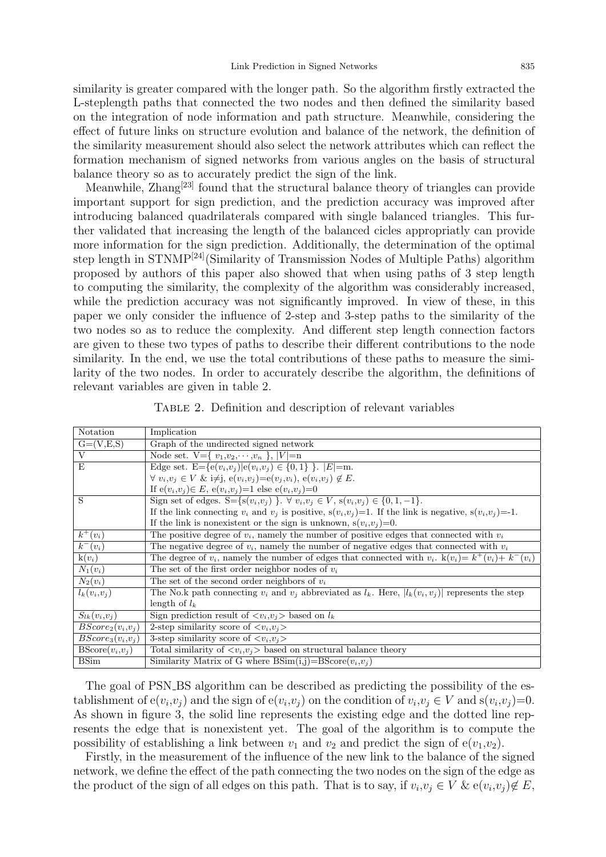similarity is greater compared with the longer path. So the algorithm firstly extracted the L-steplength paths that connected the two nodes and then defined the similarity based on the integration of node information and path structure. Meanwhile, considering the effect of future links on structure evolution and balance of the network, the definition of the similarity measurement should also select the network attributes which can reflect the formation mechanism of signed networks from various angles on the basis of structural balance theory so as to accurately predict the sign of the link.

Meanwhile, Zhang<sup>[23]</sup> found that the structural balance theory of triangles can provide important support for sign prediction, and the prediction accuracy was improved after introducing balanced quadrilaterals compared with single balanced triangles. This further validated that increasing the length of the balanced cicles appropriatly can provide more information for the sign prediction. Additionally, the determination of the optimal step length in STNMP[24](Similarity of Transmission Nodes of Multiple Paths) algorithm proposed by authors of this paper also showed that when using paths of 3 step length to computing the similarity, the complexity of the algorithm was considerably increased, while the prediction accuracy was not significantly improved. In view of these, in this paper we only consider the influence of 2-step and 3-step paths to the similarity of the two nodes so as to reduce the complexity. And different step length connection factors are given to these two types of paths to describe their different contributions to the node similarity. In the end, we use the total contributions of these paths to measure the similarity of the two nodes. In order to accurately describe the algorithm, the definitions of relevant variables are given in table 2.

| Notation                              | Implication                                                                                                      |
|---------------------------------------|------------------------------------------------------------------------------------------------------------------|
| $\overline{G}=(V,E,S)$                | Graph of the undirected signed network                                                                           |
| V                                     | Node set. V={ $v_1, v_2, \dots, v_n$ },  V =n                                                                    |
| E                                     | Edge set. E={ $e(v_i, v_j)   e(v_i, v_j) \in \{0, 1\}$ }. $ E  = m$ .                                            |
|                                       | $\forall v_i, v_j \in V \& i \neq j, e(v_i, v_j) = e(v_j, v_i), e(v_i, v_j) \notin E.$                           |
|                                       | If $e(v_i, v_j) \in E$ , $e(v_i, v_j) = 1$ else $e(v_i, v_j) = 0$                                                |
| S                                     | Sign set of edges. S={ $s(v_i, v_j)$ }. $\forall v_i, v_j \in V$ , $s(v_i, v_j) \in \{0, 1, -1\}$ .              |
|                                       | If the link connecting $v_i$ and $v_j$ is positive, $s(v_i, v_j)=1$ . If the link is negative, $s(v_i, v_j)=1$ . |
|                                       | If the link is nonexistent or the sign is unknown, $s(v_i, v_j)=0$ .                                             |
| $k^+(v_i)$                            | The positive degree of $v_i$ , namely the number of positive edges that connected with $v_i$                     |
| $\overline{k^-(v_i)}$                 | The negative degree of $v_i$ , namely the number of negative edges that connected with $v_i$                     |
| $k(v_i)$                              | The degree of $v_i$ , namely the number of edges that connected with $v_i$ . $k(v_i) = k^+(v_i) + k^-(v_i)$      |
| $N_1(v_i)$                            | The set of the first order neighbor nodes of $v_i$                                                               |
| $N_2(v_i)$                            | The set of the second order neighbors of $v_i$                                                                   |
| $l_k(v_i,v_j)$                        | The No.k path connecting $v_i$ and $v_j$ abbreviated as $l_k$ . Here, $ l_k(v_i, v_j) $ represents the step      |
|                                       | length of $l_k$                                                                                                  |
| $S_{lk}(v_i,v_i)$                     | Sign prediction result of $\langle v_i, v_j \rangle$ based on $l_k$                                              |
| $BScore_2(v_i,v_i)$                   | 2-step similarity score of $\langle v_i, v_j \rangle$                                                            |
| $BScore_3(v_i,v_j)$                   | 3-step similarity score of $\langle v_i, v_j \rangle$                                                            |
| $\overline{\mathrm{BScore}}(v_i,v_j)$ | Total similarity of $\langle v_i, v_j \rangle$ based on structural balance theory                                |
| <b>BSim</b>                           | Similarity Matrix of G where $BSim(i,j) = BScore(v_i, v_j)$                                                      |

Table 2. Definition and description of relevant variables

The goal of PSN\_BS algorithm can be described as predicting the possibility of the establishment of  $e(v_i, v_j)$  and the sign of  $e(v_i, v_j)$  on the condition of  $v_i, v_j \in V$  and  $s(v_i, v_j) = 0$ . As shown in figure 3, the solid line represents the existing edge and the dotted line represents the edge that is nonexistent yet. The goal of the algorithm is to compute the possibility of establishing a link between  $v_1$  and  $v_2$  and predict the sign of  $e(v_1,v_2)$ .

Firstly, in the measurement of the influence of the new link to the balance of the signed network, we define the effect of the path connecting the two nodes on the sign of the edge as the product of the sign of all edges on this path. That is to say, if  $v_i, v_j \in V \& e(v_i, v_j) \notin E$ ,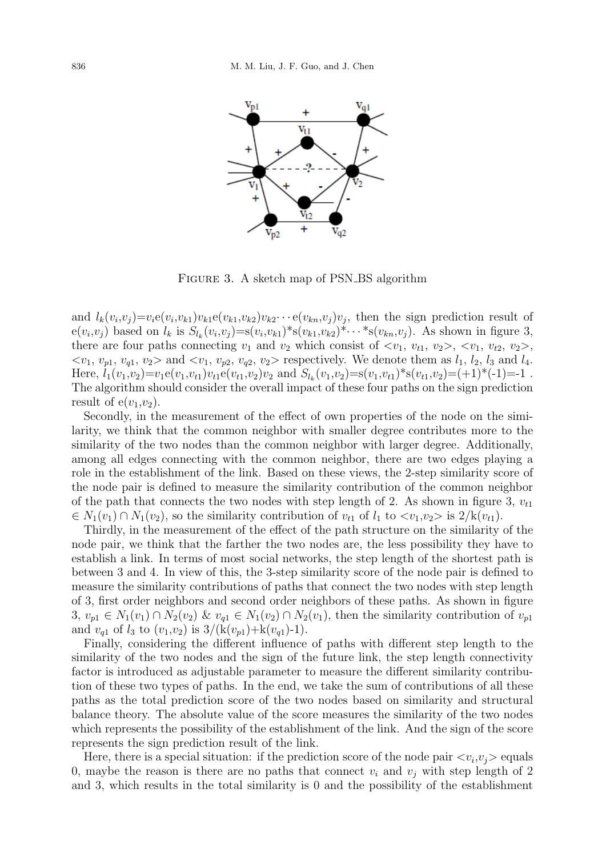

FIGURE 3. A sketch map of PSN\_BS algorithm

and  $l_k(v_i,v_j)=v_i e(v_i,v_{k1})v_{k1}e(v_{k1},v_{k2})v_{k2}\cdots e(v_{kn},v_j)v_j$ , then the sign prediction result of  $e(v_i, v_j)$  based on  $l_k$  is  $S_{l_k}(v_i, v_j) = s(v_i, v_{k1}) * s(v_{k1}, v_{k2}) * \cdots * s(v_{kn}, v_j)$ . As shown in figure 3, there are four paths connecting  $v_1$  and  $v_2$  which consist of  $\langle v_1, v_{t1}, v_2 \rangle, \langle v_1, v_{t2}, v_2 \rangle,$  $\langle v_1, v_{p1}, v_{q1}, v_2 \rangle$  and  $\langle v_1, v_{p2}, v_{q2}, v_2 \rangle$  respectively. We denote them as  $l_1, l_2, l_3$  and  $l_4$ . Here,  $l_1(v_1,v_2)=v_1e(v_1,v_{t1})v_{t1}e(v_{t1},v_2)v_2$  and  $S_{l_k}(v_1,v_2)=s(v_1,v_{t1})^*s(v_{t1},v_2)=(+1)^*(-1)=-1$ . The algorithm should consider the overall impact of these four paths on the sign prediction result of  $e(v_1,v_2)$ .

Secondly, in the measurement of the effect of own properties of the node on the similarity, we think that the common neighbor with smaller degree contributes more to the similarity of the two nodes than the common neighbor with larger degree. Additionally, among all edges connecting with the common neighbor, there are two edges playing a role in the establishment of the link. Based on these views, the 2-step similarity score of the node pair is defined to measure the similarity contribution of the common neighbor of the path that connects the two nodes with step length of 2. As shown in figure 3,  $v_{t1}$  $\in N_1(v_1) \cap N_1(v_2)$ , so the similarity contribution of  $v_{t1}$  of  $l_1$  to  $\langle v_1, v_2 \rangle$  is  $2/k(v_{t1})$ .

Thirdly, in the measurement of the effect of the path structure on the similarity of the node pair, we think that the farther the two nodes are, the less possibility they have to establish a link. In terms of most social networks, the step length of the shortest path is between 3 and 4. In view of this, the 3-step similarity score of the node pair is defined to measure the similarity contributions of paths that connect the two nodes with step length of 3, first order neighbors and second order neighbors of these paths. As shown in figure 3,  $v_{p1} \in N_1(v_1) \cap N_2(v_2)$  &  $v_{q1} \in N_1(v_2) \cap N_2(v_1)$ , then the similarity contribution of  $v_{p1}$ and  $v_{q1}$  of  $l_3$  to  $(v_1,v_2)$  is  $3/(k(v_{p1})+k(v_{q1})-1)$ .

Finally, considering the different influence of paths with different step length to the similarity of the two nodes and the sign of the future link, the step length connectivity factor is introduced as adjustable parameter to measure the different similarity contribution of these two types of paths. In the end, we take the sum of contributions of all these paths as the total prediction score of the two nodes based on similarity and structural balance theory. The absolute value of the score measures the similarity of the two nodes which represents the possibility of the establishment of the link. And the sign of the score represents the sign prediction result of the link.

Here, there is a special situation: if the prediction score of the node pair  $\langle v_i, v_j \rangle$  equals 0, maybe the reason is there are no paths that connect  $v_i$  and  $v_j$  with step length of 2 and 3, which results in the total similarity is 0 and the possibility of the establishment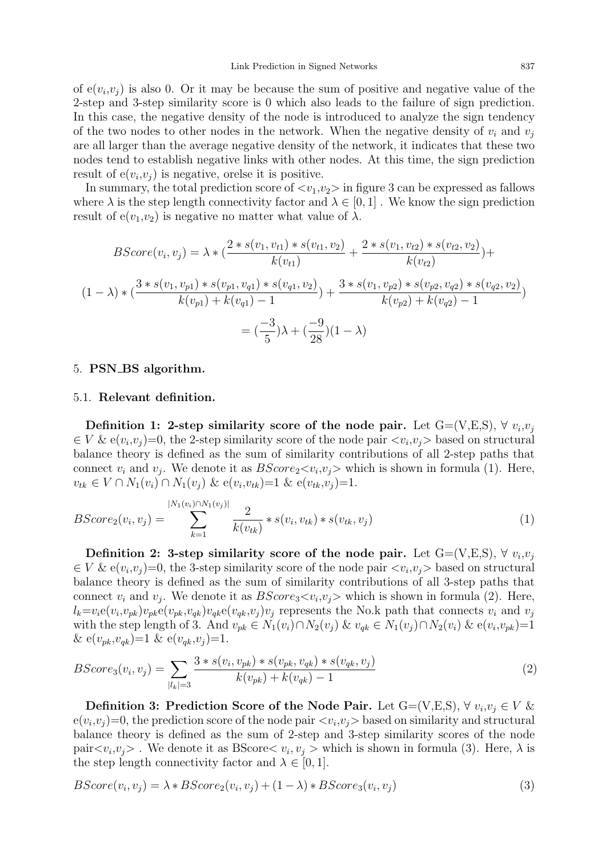of  $e(v_i, v_j)$  is also 0. Or it may be because the sum of positive and negative value of the 2-step and 3-step similarity score is 0 which also leads to the failure of sign prediction. In this case, the negative density of the node is introduced to analyze the sign tendency of the two nodes to other nodes in the network. When the negative density of  $v_i$  and  $v_j$ are all larger than the average negative density of the network, it indicates that these two nodes tend to establish negative links with other nodes. At this time, the sign prediction result of  $e(v_i, v_j)$  is negative, orelse it is positive.

In summary, the total prediction score of  $\langle v_1,v_2\rangle$  in figure 3 can be expressed as fallows where  $\lambda$  is the step length connectivity factor and  $\lambda \in [0,1]$ . We know the sign prediction result of  $e(v_1,v_2)$  is negative no matter what value of  $\lambda$ .

$$
BScore(v_i, v_j) = \lambda * (\frac{2 * s(v_1, v_{t1}) * s(v_{t1}, v_2)}{k(v_{t1})} + \frac{2 * s(v_1, v_{t2}) * s(v_{t2}, v_2)}{k(v_{t2})}) +
$$
  

$$
(1 - \lambda) * (\frac{3 * s(v_1, v_{p1}) * s(v_{p1}, v_{q1}) * s(v_{q1}, v_2)}{k(v_{p1}) + k(v_{q1}) - 1}) + \frac{3 * s(v_1, v_{p2}) * s(v_{p2}, v_{q2}) * s(v_{q2}, v_2)}{k(v_{p2}) + k(v_{q2}) - 1})
$$
  

$$
= (\frac{-3}{5})\lambda + (\frac{-9}{28})(1 - \lambda)
$$

## 5. PSN BS algorithm.

# 5.1. Relevant definition.

Definition 1: 2-step similarity score of the node pair. Let  $G = (V, E, S), \forall v_i, v_j$  $\in V \& e(v_i, v_j)=0$ , the 2-step similarity score of the node pair  $\langle v_i, v_j \rangle$  based on structural balance theory is defined as the sum of similarity contributions of all 2-step paths that connect  $v_i$  and  $v_j$ . We denote it as  $BScore_2\langle v_i,v_j\rangle$  which is shown in formula (1). Here,  $v_{tk} \in V \cap N_1(v_i) \cap N_1(v_j)$  &  $e(v_i, v_{tk}) = 1$  &  $e(v_{tk}, v_j) = 1$ .

$$
BScore_2(v_i, v_j) = \sum_{k=1}^{|N_1(v_i) \cap N_1(v_j)|} \frac{2}{k(v_{tk})} * s(v_i, v_{tk}) * s(v_{tk}, v_j)
$$
\n(1)

Definition 2: 3-step similarity score of the node pair. Let  $G = (V, E, S), \forall v_i, v_j$  $\in V \& e(v_i, v_j)=0$ , the 3-step similarity score of the node pair  $\langle v_i, v_j \rangle$  based on structural balance theory is defined as the sum of similarity contributions of all 3-step paths that connect  $v_i$  and  $v_j$ . We denote it as  $BScore_3\langle v_i,v_j\rangle$  which is shown in formula (2). Here,  $l_k = v_i e(v_i, v_{pk})v_{pk}e(v_{pk}, v_{qk})v_{qk}e(v_{qk}, v_j)v_j$  represents the No.k path that connects  $v_i$  and  $v_j$ with the step length of 3. And  $v_{pk} \in N_1(v_i) \cap N_2(v_j)$  &  $v_{qk} \in N_1(v_j) \cap N_2(v_i)$  &  $e(v_i,v_{pk})=1$ &  $e(v_{pk}, v_{qk}) = 1$  &  $e(v_{qk}, v_j) = 1$ .

$$
BScore_3(v_i, v_j) = \sum_{|l_k|=3} \frac{3*s(v_i, v_{pk}) * s(v_{pk}, v_{qk}) * s(v_{qk}, v_j)}{k(v_{pk}) + k(v_{qk}) - 1}
$$
(2)

Definition 3: Prediction Score of the Node Pair. Let  $G=(V,E,S), \forall v_i, v_j \in V \&$  $e(v_i, v_j)=0$ , the prediction score of the node pair  $\langle v_i, v_j \rangle$  based on similarity and structural balance theory is defined as the sum of 2-step and 3-step similarity scores of the node pair $\langle v_i, v_j \rangle$ . We denote it as BScore $\langle v_i, v_j \rangle$  which is shown in formula (3). Here,  $\lambda$  is the step length connectivity factor and  $\lambda \in [0, 1]$ .

$$
BScore(v_i, v_j) = \lambda * BScore_2(v_i, v_j) + (1 - \lambda) * BScore_3(v_i, v_j)
$$
\n
$$
(3)
$$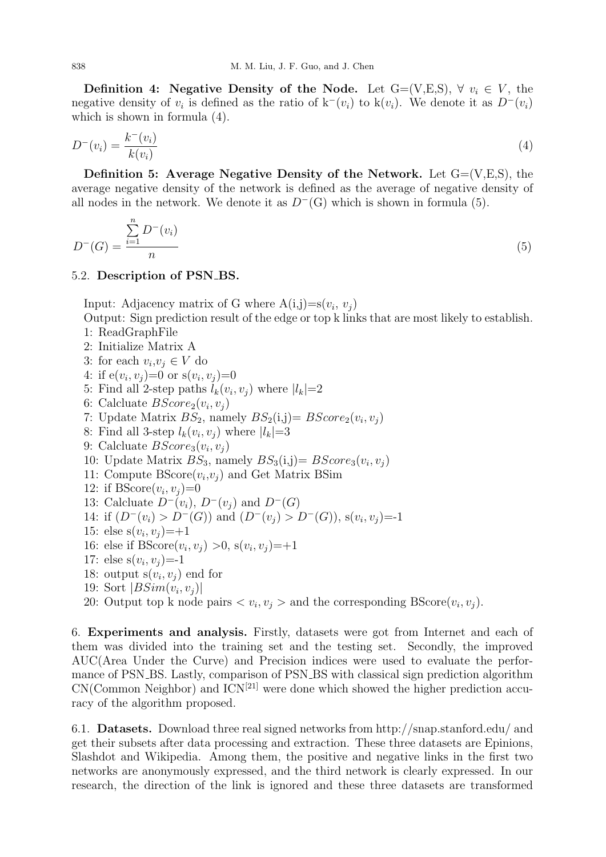Definition 4: Negative Density of the Node. Let  $G=(V,E,S), \forall v_i \in V$ , the negative density of  $v_i$  is defined as the ratio of  $k^-(v_i)$  to  $k(v_i)$ . We denote it as  $D^-(v_i)$ which is shown in formula (4).

$$
D^{-}(v_i) = \frac{k^{-}(v_i)}{k(v_i)}
$$
\n(4)

Definition 5: Average Negative Density of the Network. Let  $G=(V,E,S)$ , the average negative density of the network is defined as the average of negative density of all nodes in the network. We denote it as  $D^{-}(G)$  which is shown in formula (5).

$$
D^{-}(G) = \frac{\sum_{i=1}^{n} D^{-}(v_i)}{n}
$$
\n(5)

### 5.2. Description of PSN BS.

Input: Adjacency matrix of G where  $A(i,j)=s(v_i, v_j)$ 

Output: Sign prediction result of the edge or top k links that are most likely to establish.

- 1: ReadGraphFile
- 2: Initialize Matrix A
- 3: for each  $v_i, v_j \in V$  do
- 4: if  $e(v_i, v_j)=0$  or  $s(v_i, v_j)=0$
- 5: Find all 2-step paths  $l_k(v_i, v_j)$  where  $|l_k|=2$
- 6: Calcluate  $BScore_2(v_i, v_j)$
- 7: Update Matrix  $BS_2$ , namely  $BS_2(i,j) = BScore_2(v_i, v_j)$
- 8: Find all 3-step  $l_k(v_i, v_j)$  where  $|l_k|=3$
- 9: Calcluate  $BScore_3(v_i, v_j)$
- 10: Update Matrix  $BS_3$ , namely  $BS_3(i,j) = BScore_3(v_i, v_j)$
- 11: Compute  $BScore(v_i, v_j)$  and Get Matrix BSim
- 12: if  $BScore(v_i, v_j)=0$
- 13: Calcluate  $D^-(v_i)$ ,  $D^-(v_j)$  and  $D^-(G)$
- 14: if  $(D^-(v_i) > D^-(G))$  and  $(D^-(v_j) > D^-(G))$ , s $(v_i, v_j) = -1$
- 15: else  $s(v_i, v_j) = +1$
- 16: else if  $BScore(v_i, v_j) > 0, s(v_i, v_j) = +1$
- 17: else  $s(v_i, v_j) = -1$
- 18: output  $s(v_i, v_j)$  end for
- 19: Sort  $|BSim(v_i, v_j)|$
- 20: Output top k node pairs  $\langle v_i, v_j \rangle$  and the corresponding BScore $(v_i, v_j)$ .

6. Experiments and analysis. Firstly, datasets were got from Internet and each of them was divided into the training set and the testing set. Secondly, the improved AUC(Area Under the Curve) and Precision indices were used to evaluate the performance of PSN BS. Lastly, comparison of PSN BS with classical sign prediction algorithm  $CN(Common Neighbour)$  and  $ICN^{[21]}$  were done which showed the higher prediction accuracy of the algorithm proposed.

6.1. Datasets. Download three real signed networks from http://snap.stanford.edu/ and get their subsets after data processing and extraction. These three datasets are Epinions, Slashdot and Wikipedia. Among them, the positive and negative links in the first two networks are anonymously expressed, and the third network is clearly expressed. In our research, the direction of the link is ignored and these three datasets are transformed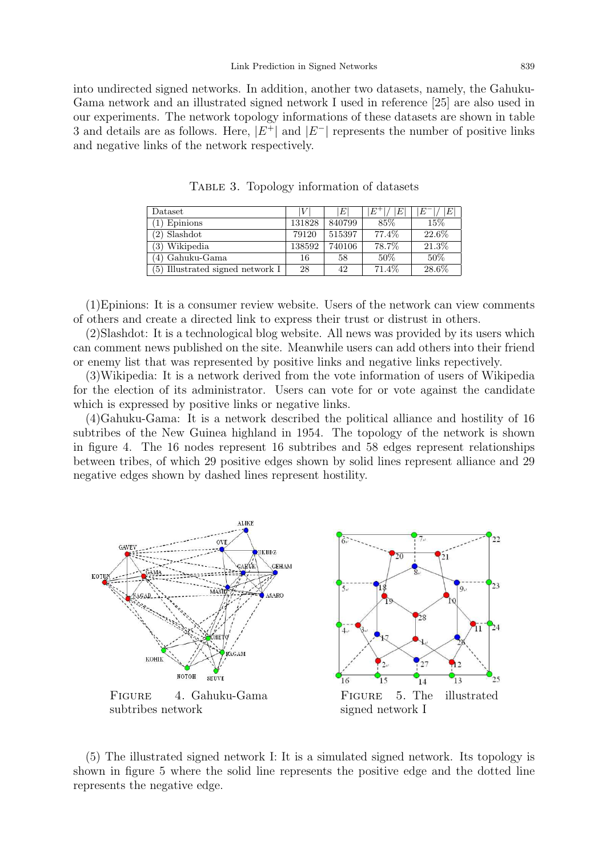into undirected signed networks. In addition, another two datasets, namely, the Gahuku-Gama network and an illustrated signed network I used in reference [25] are also used in our experiments. The network topology informations of these datasets are shown in table 3 and details are as follows. Here,  $|E^+|$  and  $|E^-|$  represents the number of positive links and negative links of the network respectively.

| Dataset                          |        | $E\vert$ | E<br>$E^+$ | E <br>$E^-$ |
|----------------------------------|--------|----------|------------|-------------|
| $(1)$ Epinions                   | 131828 | 840799   | 85\%       | $15\%$      |
| $(2)$ Slashdot                   | 79120  | 515397   | 77.4%      | 22.6%       |
| $\overline{(3)}$ Wikipedia       | 138592 | 740106   | 78.7%      | 21.3%       |
| (4) Gahuku-Gama                  | 16     | 58       | 50%        | $50\%$      |
| (5) Illustrated signed network I | 28     | 42       | 71.4\%     | 28.6%       |

Table 3. Topology information of datasets

(1)Epinions: It is a consumer review website. Users of the network can view comments of others and create a directed link to express their trust or distrust in others.

(2)Slashdot: It is a technological blog website. All news was provided by its users which can comment news published on the site. Meanwhile users can add others into their friend or enemy list that was represented by positive links and negative links repectively.

(3)Wikipedia: It is a network derived from the vote information of users of Wikipedia for the election of its administrator. Users can vote for or vote against the candidate which is expressed by positive links or negative links.

(4)Gahuku-Gama: It is a network described the political alliance and hostility of 16 subtribes of the New Guinea highland in 1954. The topology of the network is shown in figure 4. The 16 nodes represent 16 subtribes and 58 edges represent relationships between tribes, of which 29 positive edges shown by solid lines represent alliance and 29 negative edges shown by dashed lines represent hostility.



(5) The illustrated signed network I: It is a simulated signed network. Its topology is shown in figure 5 where the solid line represents the positive edge and the dotted line represents the negative edge.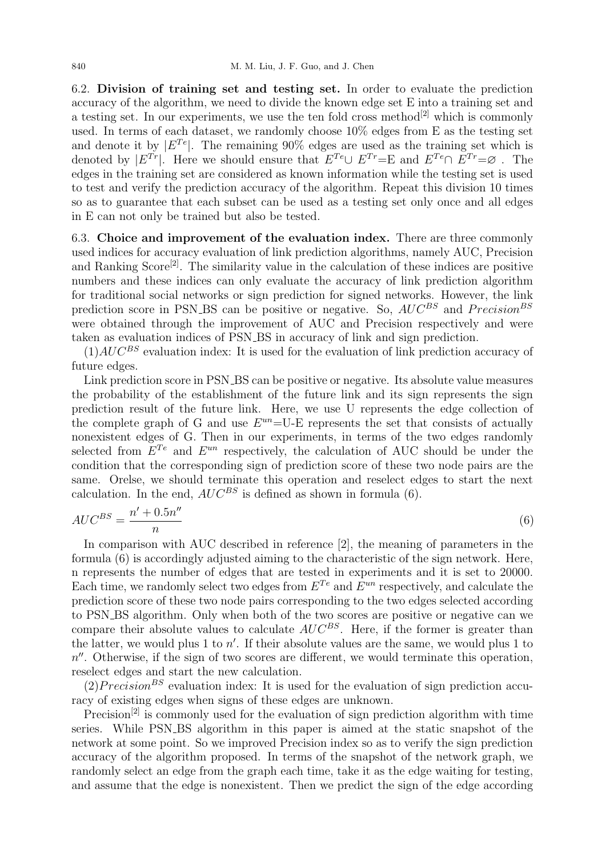6.2. Division of training set and testing set. In order to evaluate the prediction accuracy of the algorithm, we need to divide the known edge set E into a training set and a testing set. In our experiments, we use the ten fold cross method<sup>[2]</sup> which is commonly used. In terms of each dataset, we randomly choose 10% edges from E as the testing set and denote it by  $|E^{Te}|$ . The remaining 90% edges are used as the training set which is denoted by  $|E^{Tr}|$ . Here we should ensure that  $E^{Te} \cup E^{Tr} = E$  and  $E^{Te} \cap E^{Tr} = \emptyset$ . The edges in the training set are considered as known information while the testing set is used to test and verify the prediction accuracy of the algorithm. Repeat this division 10 times so as to guarantee that each subset can be used as a testing set only once and all edges in E can not only be trained but also be tested.

6.3. Choice and improvement of the evaluation index. There are three commonly used indices for accuracy evaluation of link prediction algorithms, namely AUC, Precision and Ranking Score<sup>[2]</sup>. The similarity value in the calculation of these indices are positive numbers and these indices can only evaluate the accuracy of link prediction algorithm for traditional social networks or sign prediction for signed networks. However, the link prediction score in PSN BS can be positive or negative. So,  $AUC^{BS}$  and  $Precision^{BS}$ were obtained through the improvement of AUC and Precision respectively and were taken as evaluation indices of PSN BS in accuracy of link and sign prediction.

 $(1)AUC^{BS}$  evaluation index: It is used for the evaluation of link prediction accuracy of future edges.

Link prediction score in PSN BS can be positive or negative. Its absolute value measures the probability of the establishment of the future link and its sign represents the sign prediction result of the future link. Here, we use U represents the edge collection of the complete graph of G and use  $E^{un}$ =U-E represents the set that consists of actually nonexistent edges of G. Then in our experiments, in terms of the two edges randomly selected from  $E^{Te}$  and  $E^{un}$  respectively, the calculation of AUC should be under the condition that the corresponding sign of prediction score of these two node pairs are the same. Orelse, we should terminate this operation and reselect edges to start the next calculation. In the end,  $AUC^{BS}$  is defined as shown in formula (6).

$$
AUC^{BS} = \frac{n' + 0.5n''}{n} \tag{6}
$$

In comparison with AUC described in reference [2], the meaning of parameters in the formula (6) is accordingly adjusted aiming to the characteristic of the sign network. Here, n represents the number of edges that are tested in experiments and it is set to 20000. Each time, we randomly select two edges from  $E^{Te}$  and  $E^{un}$  respectively, and calculate the prediction score of these two node pairs corresponding to the two edges selected according to PSN BS algorithm. Only when both of the two scores are positive or negative can we compare their absolute values to calculate  $AUC^{BS}$ . Here, if the former is greater than the latter, we would plus 1 to  $n'$ . If their absolute values are the same, we would plus 1 to  $n''$ . Otherwise, if the sign of two scores are different, we would terminate this operation, reselect edges and start the new calculation.

 $(2)Precision<sup>BS</sup>$  evaluation index: It is used for the evaluation of sign prediction accuracy of existing edges when signs of these edges are unknown.

Precision<sup>[2]</sup> is commonly used for the evaluation of sign prediction algorithm with time series. While PSN BS algorithm in this paper is aimed at the static snapshot of the network at some point. So we improved Precision index so as to verify the sign prediction accuracy of the algorithm proposed. In terms of the snapshot of the network graph, we randomly select an edge from the graph each time, take it as the edge waiting for testing, and assume that the edge is nonexistent. Then we predict the sign of the edge according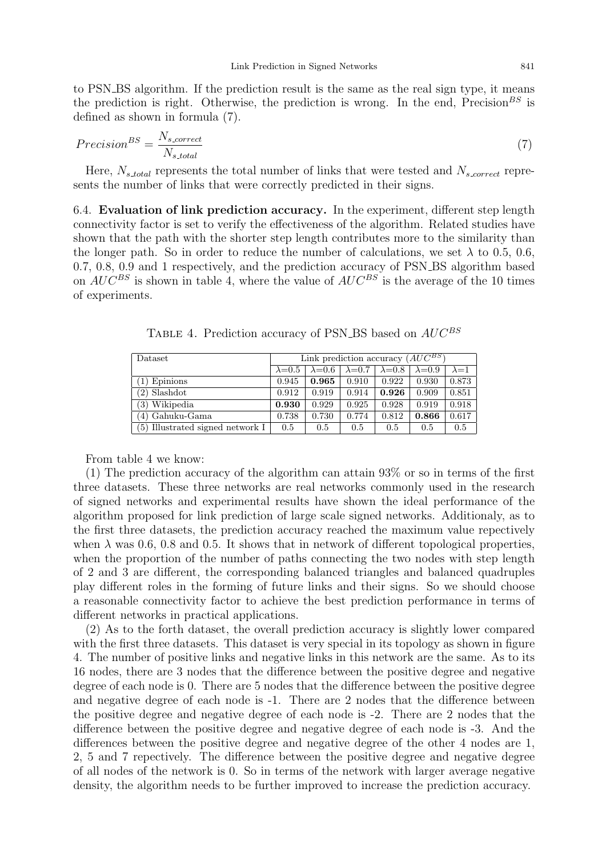to PSN BS algorithm. If the prediction result is the same as the real sign type, it means the prediction is right. Otherwise, the prediction is wrong. In the end, Precision<sup>BS</sup> is defined as shown in formula (7).

$$
Precision^{BS} = \frac{N_{s \text{-correct}}}{N_{s \text{-total}}} \tag{7}
$$

Here,  $N_{s\_total}$  represents the total number of links that were tested and  $N_{s\_correct}$  represents the number of links that were correctly predicted in their signs.

6.4. Evaluation of link prediction accuracy. In the experiment, different step length connectivity factor is set to verify the effectiveness of the algorithm. Related studies have shown that the path with the shorter step length contributes more to the similarity than the longer path. So in order to reduce the number of calculations, we set  $\lambda$  to 0.5, 0.6, 0.7, 0.8, 0.9 and 1 respectively, and the prediction accuracy of PSN BS algorithm based on  $AUC^{BS}$  is shown in table 4, where the value of  $AUC^{BS}$  is the average of the 10 times of experiments.

| Dataset                          | Link prediction accuracy $(AUC^{BS})$ |                 |                 |                 |                 |               |
|----------------------------------|---------------------------------------|-----------------|-----------------|-----------------|-----------------|---------------|
|                                  | $\lambda = 0.5$                       | $\lambda = 0.6$ | $\lambda = 0.7$ | $\lambda = 0.8$ | $\lambda = 0.9$ | $\lambda = 1$ |
| $(1)$ Epinions                   | 0.945                                 | 0.965           | 0.910           | 0.922           | 0.930           | 0.873         |
| $(2)$ Slashdot                   | 0.912                                 | 0.919           | 0.914           | 0.926           | 0.909           | 0.851         |
| $(3)$ Wikipedia                  | 0.930                                 | 0.929           | 0.925           | 0.928           | 0.919           | 0.918         |
| $(4)$ Gahuku-Gama                | 0.738                                 | 0.730           | 0.774           | 0.812           | 0.866           | 0.617         |
| (5) Illustrated signed network I | 0.5                                   | 0.5             | 0.5             | 0.5             | 0.5             | 0.5           |

TABLE 4. Prediction accuracy of PSN\_BS based on  $AUC^{BS}$ 

From table 4 we know:

(1) The prediction accuracy of the algorithm can attain 93% or so in terms of the first three datasets. These three networks are real networks commonly used in the research of signed networks and experimental results have shown the ideal performance of the algorithm proposed for link prediction of large scale signed networks. Additionaly, as to the first three datasets, the prediction accuracy reached the maximum value repectively when  $\lambda$  was 0.6, 0.8 and 0.5. It shows that in network of different topological properties, when the proportion of the number of paths connecting the two nodes with step length of 2 and 3 are different, the corresponding balanced triangles and balanced quadruples play different roles in the forming of future links and their signs. So we should choose a reasonable connectivity factor to achieve the best prediction performance in terms of different networks in practical applications.

(2) As to the forth dataset, the overall prediction accuracy is slightly lower compared with the first three datasets. This dataset is very special in its topology as shown in figure 4. The number of positive links and negative links in this network are the same. As to its 16 nodes, there are 3 nodes that the difference between the positive degree and negative degree of each node is 0. There are 5 nodes that the difference between the positive degree and negative degree of each node is -1. There are 2 nodes that the difference between the positive degree and negative degree of each node is -2. There are 2 nodes that the difference between the positive degree and negative degree of each node is -3. And the differences between the positive degree and negative degree of the other 4 nodes are 1, 2, 5 and 7 repectively. The difference between the positive degree and negative degree of all nodes of the network is 0. So in terms of the network with larger average negative density, the algorithm needs to be further improved to increase the prediction accuracy.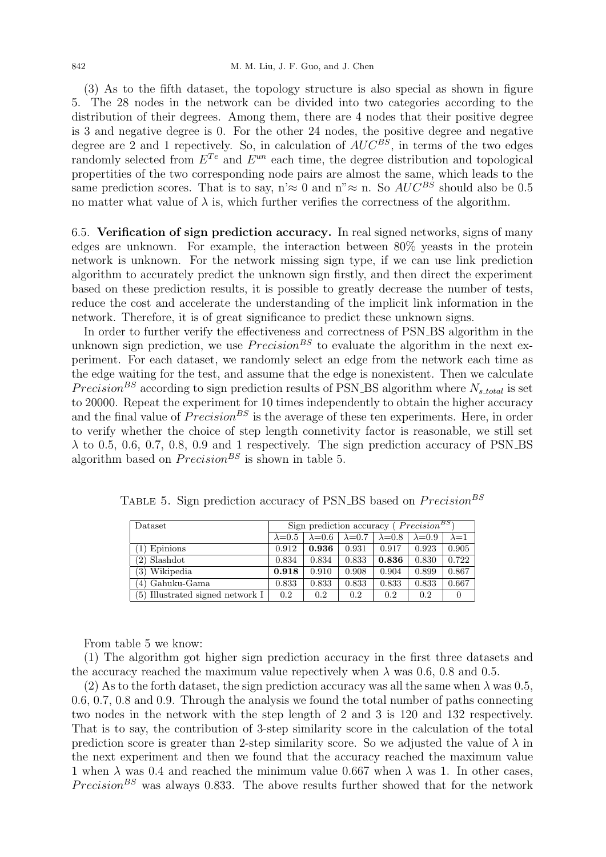(3) As to the fifth dataset, the topology structure is also special as shown in figure 5. The 28 nodes in the network can be divided into two categories according to the distribution of their degrees. Among them, there are 4 nodes that their positive degree is 3 and negative degree is 0. For the other 24 nodes, the positive degree and negative degree are 2 and 1 repectively. So, in calculation of  $AUC^{BS}$ , in terms of the two edges randomly selected from  $E^{Te}$  and  $E^{un}$  each time, the degree distribution and topological propertities of the two corresponding node pairs are almost the same, which leads to the same prediction scores. That is to say, n' $\approx 0$  and n" $\approx$  n. So  $AUC^{BS}$  should also be 0.5 no matter what value of  $\lambda$  is, which further verifies the correctness of the algorithm.

6.5. Verification of sign prediction accuracy. In real signed networks, signs of many edges are unknown. For example, the interaction between 80% yeasts in the protein network is unknown. For the network missing sign type, if we can use link prediction algorithm to accurately predict the unknown sign firstly, and then direct the experiment based on these prediction results, it is possible to greatly decrease the number of tests, reduce the cost and accelerate the understanding of the implicit link information in the network. Therefore, it is of great significance to predict these unknown signs.

In order to further verify the effectiveness and correctness of PSN\_BS algorithm in the unknown sign prediction, we use  $Precision^{BS}$  to evaluate the algorithm in the next experiment. For each dataset, we randomly select an edge from the network each time as the edge waiting for the test, and assume that the edge is nonexistent. Then we calculate  $Precision^{BS}$  according to sign prediction results of PSN\_BS algorithm where  $N_{s\_total}$  is set to 20000. Repeat the experiment for 10 times independently to obtain the higher accuracy and the final value of  $Precision^{BS}$  is the average of these ten experiments. Here, in order to verify whether the choice of step length connetivity factor is reasonable, we still set  $\lambda$  to 0.5, 0.6, 0.7, 0.8, 0.9 and 1 respectively. The sign prediction accuracy of PSN\_BS algorithm based on  $Precision^{BS}$  is shown in table 5.

| Dataset                          | Sign prediction accuracy ( $Precision^{BS}$ ) |                |                 |                 |                 |               |
|----------------------------------|-----------------------------------------------|----------------|-----------------|-----------------|-----------------|---------------|
|                                  | $\lambda$ =0.5                                | $\lambda$ =0.6 | $\lambda = 0.7$ | $\lambda = 0.8$ | $\lambda = 0.9$ | $\lambda = 1$ |
| $(1)$ Epinions                   | 0.912                                         | 0.936          | 0.931           | 0.917           | 0.923           | 0.905         |
| $(2)$ Slashdot                   | 0.834                                         | 0.834          | 0.833           | 0.836           | 0.830           | 0.722         |
| (3) Wikipedia                    | 0.918                                         | 0.910          | 0.908           | 0.904           | 0.899           | 0.867         |
| (4) Gahuku-Gama                  | 0.833                                         | 0.833          | 0.833           | 0.833           | 0.833           | 0.667         |
| (5) Illustrated signed network I | 0.2                                           | 0.2            | 0.2             | 0.2             | 0.2             | 0             |

TABLE 5. Sign prediction accuracy of PSN\_BS based on Precision<sup>BS</sup>

From table 5 we know:

(1) The algorithm got higher sign prediction accuracy in the first three datasets and the accuracy reached the maximum value repectively when  $\lambda$  was 0.6, 0.8 and 0.5.

(2) As to the forth dataset, the sign prediction accuracy was all the same when  $\lambda$  was 0.5, 0.6, 0.7, 0.8 and 0.9. Through the analysis we found the total number of paths connecting two nodes in the network with the step length of 2 and 3 is 120 and 132 respectively. That is to say, the contribution of 3-step similarity score in the calculation of the total prediction score is greater than 2-step similarity score. So we adjusted the value of  $\lambda$  in the next experiment and then we found that the accuracy reached the maximum value 1 when  $\lambda$  was 0.4 and reached the minimum value 0.667 when  $\lambda$  was 1. In other cases,  $Precision^{BS}$  was always 0.833. The above results further showed that for the network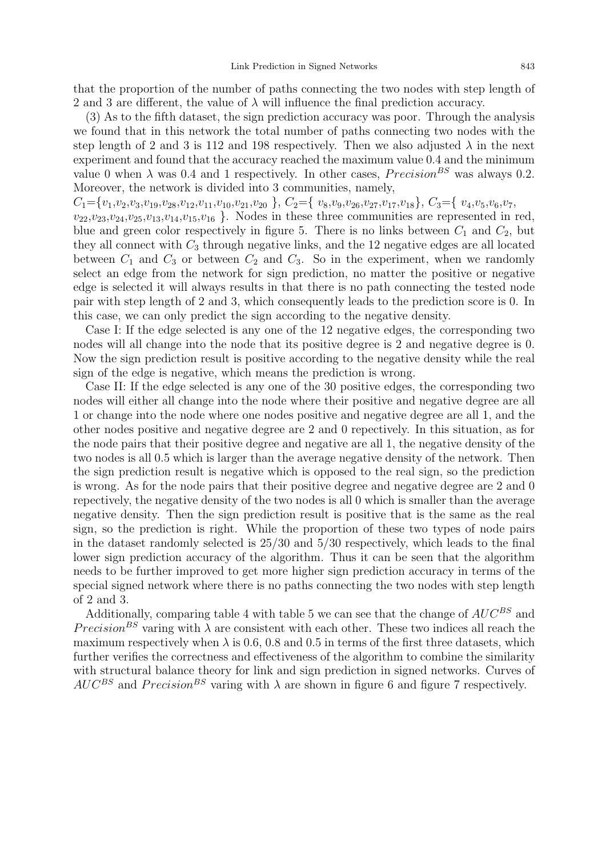that the proportion of the number of paths connecting the two nodes with step length of 2 and 3 are different, the value of  $\lambda$  will influence the final prediction accuracy.

(3) As to the fifth dataset, the sign prediction accuracy was poor. Through the analysis we found that in this network the total number of paths connecting two nodes with the step length of 2 and 3 is 112 and 198 respectively. Then we also adjusted  $\lambda$  in the next experiment and found that the accuracy reached the maximum value 0.4 and the minimum value 0 when  $\lambda$  was 0.4 and 1 respectively. In other cases, *Precision*<sup>BS</sup> was always 0.2. Moreover, the network is divided into 3 communities, namely,

 $C_1 {=} \{v_1,\!v_2,\!v_3,\!v_{19},\!v_{28},\!v_{12},\!v_{11},\!v_{10},\!v_{21},\!v_{20} \ \},\, C_2 {=} \{ \ v_8,\!v_9,\!v_{26},\!v_{27},\!v_{17},\!v_{18} \},\, C_3 {=} \{ \ v_4,\!v_5,\!v_6,\!v_7,\,$ 

 $v_{22},v_{23},v_{24},v_{25},v_{13},v_{14},v_{15},v_{16}$ . Nodes in these three communities are represented in red, blue and green color respectively in figure 5. There is no links between  $C_1$  and  $C_2$ , but they all connect with  $C_3$  through negative links, and the 12 negative edges are all located between  $C_1$  and  $C_3$  or between  $C_2$  and  $C_3$ . So in the experiment, when we randomly select an edge from the network for sign prediction, no matter the positive or negative edge is selected it will always results in that there is no path connecting the tested node pair with step length of 2 and 3, which consequently leads to the prediction score is 0. In this case, we can only predict the sign according to the negative density.

Case I: If the edge selected is any one of the 12 negative edges, the corresponding two nodes will all change into the node that its positive degree is 2 and negative degree is 0. Now the sign prediction result is positive according to the negative density while the real sign of the edge is negative, which means the prediction is wrong.

Case II: If the edge selected is any one of the 30 positive edges, the corresponding two nodes will either all change into the node where their positive and negative degree are all 1 or change into the node where one nodes positive and negative degree are all 1, and the other nodes positive and negative degree are 2 and 0 repectively. In this situation, as for the node pairs that their positive degree and negative are all 1, the negative density of the two nodes is all 0.5 which is larger than the average negative density of the network. Then the sign prediction result is negative which is opposed to the real sign, so the prediction is wrong. As for the node pairs that their positive degree and negative degree are 2 and 0 repectively, the negative density of the two nodes is all 0 which is smaller than the average negative density. Then the sign prediction result is positive that is the same as the real sign, so the prediction is right. While the proportion of these two types of node pairs in the dataset randomly selected is 25/30 and 5/30 respectively, which leads to the final lower sign prediction accuracy of the algorithm. Thus it can be seen that the algorithm needs to be further improved to get more higher sign prediction accuracy in terms of the special signed network where there is no paths connecting the two nodes with step length of 2 and 3.

Additionally, comparing table 4 with table 5 we can see that the change of  $AUC^{BS}$  and Precision<sup>BS</sup> varing with  $\lambda$  are consistent with each other. These two indices all reach the maximum respectively when  $\lambda$  is 0.6, 0.8 and 0.5 in terms of the first three datasets, which further verifies the correctness and effectiveness of the algorithm to combine the similarity with structural balance theory for link and sign prediction in signed networks. Curves of  $AUC^{BS}$  and  $Precision^{BS}$  varing with  $\lambda$  are shown in figure 6 and figure 7 respectively.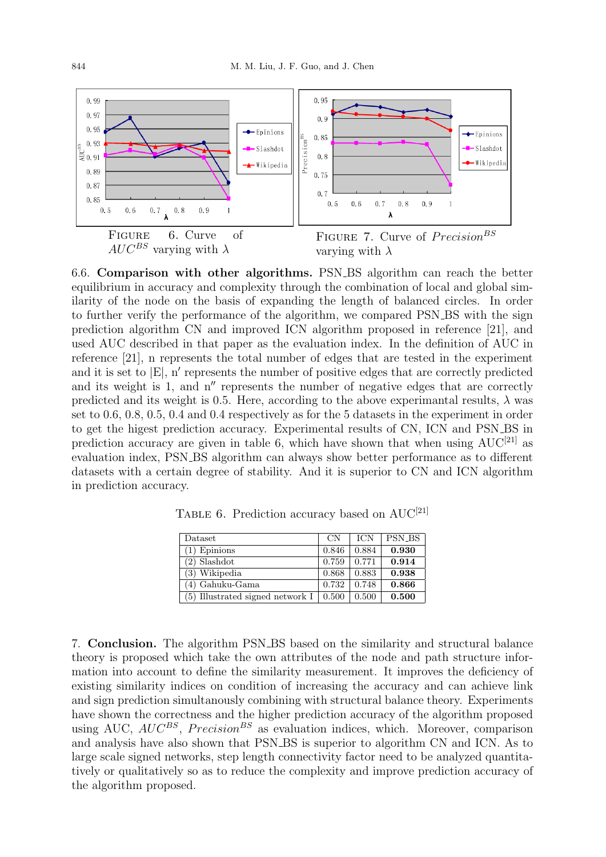

6.6. Comparison with other algorithms. PSN BS algorithm can reach the better equilibrium in accuracy and complexity through the combination of local and global similarity of the node on the basis of expanding the length of balanced circles. In order to further verify the performance of the algorithm, we compared PSN\_BS with the sign prediction algorithm CN and improved ICN algorithm proposed in reference [21], and used AUC described in that paper as the evaluation index. In the definition of AUC in reference [21], n represents the total number of edges that are tested in the experiment and it is set to  $|E|$ , n' represents the number of positive edges that are correctly predicted and its weight is 1, and  $n^{\prime\prime}$  represents the number of negative edges that are correctly predicted and its weight is 0.5. Here, according to the above experimantal results,  $\lambda$  was set to 0.6, 0.8, 0.5, 0.4 and 0.4 respectively as for the 5 datasets in the experiment in order to get the higest prediction accuracy. Experimental results of CN, ICN and PSN BS in prediction accuracy are given in table 6, which have shown that when using  $AUC^{[21]}$  as evaluation index, PSN BS algorithm can always show better performance as to different datasets with a certain degree of stability. And it is superior to CN and ICN algorithm in prediction accuracy.

| Dataset                          | $\rm CN$ | ICN   | <b>PSN BS</b> |
|----------------------------------|----------|-------|---------------|
| $(1)$ Epinions                   | 0.846    | 0.884 | 0.930         |
| $(2)$ Slashdot                   | 0.759    | 0.771 | 0.914         |
| (3) Wikipedia                    | 0.868    | 0.883 | 0.938         |
| (4) Gahuku-Gama                  | 0.732    | 0.748 | 0.866         |
| (5) Illustrated signed network I | 0.500    | 0.500 | 0.500         |

TABLE 6. Prediction accuracy based on AUC<sup>[21]</sup>

7. Conclusion. The algorithm PSN BS based on the similarity and structural balance theory is proposed which take the own attributes of the node and path structure information into account to define the similarity measurement. It improves the deficiency of existing similarity indices on condition of increasing the accuracy and can achieve link and sign prediction simultanously combining with structural balance theory. Experiments have shown the correctness and the higher prediction accuracy of the algorithm proposed using AUC,  $AUC^{BS}$ , Precision<sup>BS</sup> as evaluation indices, which. Moreover, comparison and analysis have also shown that PSN BS is superior to algorithm CN and ICN. As to large scale signed networks, step length connectivity factor need to be analyzed quantitatively or qualitatively so as to reduce the complexity and improve prediction accuracy of the algorithm proposed.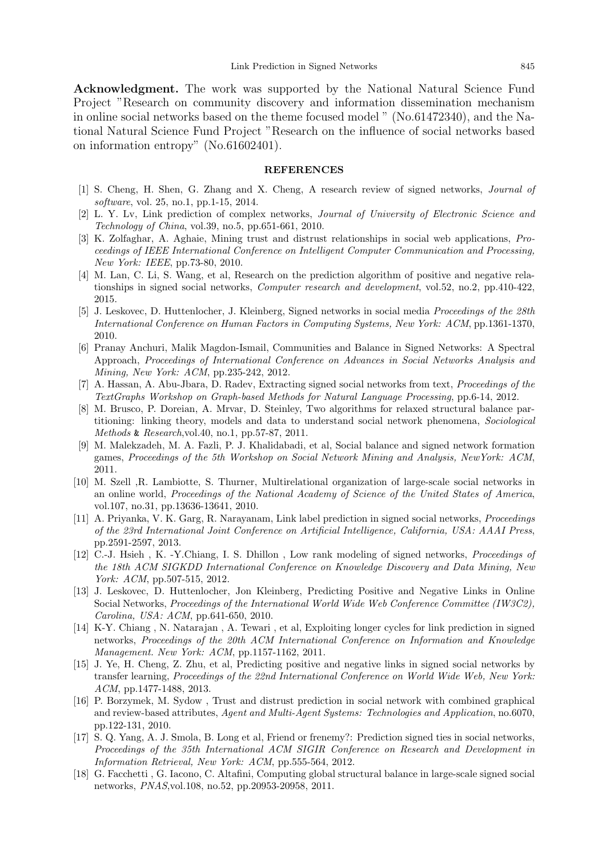Acknowledgment. The work was supported by the National Natural Science Fund Project "Research on community discovery and information dissemination mechanism in online social networks based on the theme focused model " (No.61472340), and the National Natural Science Fund Project "Research on the influence of social networks based on information entropy" (No.61602401).

#### REFERENCES

- [1] S. Cheng, H. Shen, G. Zhang and X. Cheng, A research review of signed networks, Journal of software, vol. 25, no.1, pp.1-15, 2014.
- [2] L. Y. Lv, Link prediction of complex networks, Journal of University of Electronic Science and Technology of China, vol.39, no.5, pp.651-661, 2010.
- [3] K. Zolfaghar, A. Aghaie, Mining trust and distrust relationships in social web applications, Proceedings of IEEE International Conference on Intelligent Computer Communication and Processing, New York: IEEE, pp.73-80, 2010.
- [4] M. Lan, C. Li, S. Wang, et al, Research on the prediction algorithm of positive and negative relationships in signed social networks, Computer research and development, vol.52, no.2, pp.410-422, 2015.
- [5] J. Leskovec, D. Huttenlocher, J. Kleinberg, Signed networks in social media Proceedings of the 28th International Conference on Human Factors in Computing Systems, New York: ACM, pp.1361-1370, 2010.
- [6] Pranay Anchuri, Malik Magdon-Ismail, Communities and Balance in Signed Networks: A Spectral Approach, Proceedings of International Conference on Advances in Social Networks Analysis and Mining, New York: ACM, pp.235-242, 2012.
- [7] A. Hassan, A. Abu-Jbara, D. Radev, Extracting signed social networks from text, Proceedings of the TextGraphs Workshop on Graph-based Methods for Natural Language Processing, pp.6-14, 2012.
- [8] M. Brusco, P. Doreian, A. Mrvar, D. Steinley, Two algorithms for relaxed structural balance partitioning: linking theory, models and data to understand social network phenomena, Sociological Methods & Research,vol.40, no.1, pp.57-87, 2011.
- [9] M. Malekzadeh, M. A. Fazli, P. J. Khalidabadi, et al, Social balance and signed network formation games, Proceedings of the 5th Workshop on Social Network Mining and Analysis, NewYork: ACM, 2011.
- [10] M. Szell ,R. Lambiotte, S. Thurner, Multirelational organization of large-scale social networks in an online world, Proceedings of the National Academy of Science of the United States of America, vol.107, no.31, pp.13636-13641, 2010.
- [11] A. Priyanka, V. K. Garg, R. Narayanam, Link label prediction in signed social networks, Proceedings of the 23rd International Joint Conference on Artificial Intelligence, California, USA: AAAI Press, pp.2591-2597, 2013.
- [12] C.-J. Hsieh, K. -Y.Chiang, I. S. Dhillon, Low rank modeling of signed networks, *Proceedings of* the 18th ACM SIGKDD International Conference on Knowledge Discovery and Data Mining, New York: ACM, pp.507-515, 2012.
- [13] J. Leskovec, D. Huttenlocher, Jon Kleinberg, Predicting Positive and Negative Links in Online Social Networks, Proceedings of the International World Wide Web Conference Committee (IW3C2), Carolina, USA: ACM, pp.641-650, 2010.
- [14] K-Y. Chiang , N. Natarajan , A. Tewari , et al, Exploiting longer cycles for link prediction in signed networks, Proceedings of the 20th ACM International Conference on Information and Knowledge Management. New York: ACM, pp.1157-1162, 2011.
- [15] J. Ye, H. Cheng, Z. Zhu, et al, Predicting positive and negative links in signed social networks by transfer learning, Proceedings of the 22nd International Conference on World Wide Web, New York: ACM, pp.1477-1488, 2013.
- [16] P. Borzymek, M. Sydow , Trust and distrust prediction in social network with combined graphical and review-based attributes, Agent and Multi-Agent Systems: Technologies and Application, no.6070, pp.122-131, 2010.
- [17] S. Q. Yang, A. J. Smola, B. Long et al, Friend or frenemy?: Prediction signed ties in social networks, Proceedings of the 35th International ACM SIGIR Conference on Research and Development in Information Retrieval, New York: ACM, pp.555-564, 2012.
- [18] G. Facchetti , G. Iacono, C. Altafini, Computing global structural balance in large-scale signed social networks, PNAS,vol.108, no.52, pp.20953-20958, 2011.